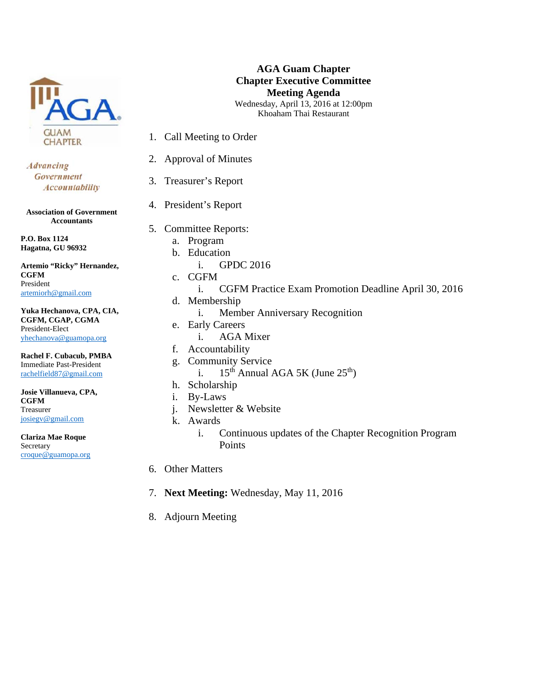

**Advancing** Government **Accountability** 

**Association of Government Accountants** 

**P.O. Box 1124 Hagatna, GU 96932** 

**Artemio "Ricky" Hernandez, CGFM**  President artemiorh@gmail.com

**Yuka Hechanova, CPA, CIA, CGFM, CGAP, CGMA**  President-Elect yhechanova@guamopa.org

**Rachel F. Cubacub, PMBA**  Immediate Past-President rachelfield87@gmail.com

**Josie Villanueva, CPA, CGFM**  Treasurer josiegv@gmail.com

**Clariza Mae Roque**  Secretary croque@guamopa.org

## **AGA Guam Chapter Chapter Executive Committee Meeting Agenda**  Wednesday, April 13, 2016 at 12:00pm Khoaham Thai Restaurant

1. Call Meeting to Order

- 2. Approval of Minutes
- 3. Treasurer's Report
- 4. President's Report
- 5. Committee Reports:
	- a. Program
	- b. Education
		- i. GPDC 2016
	- c. CGFM
		- i. CGFM Practice Exam Promotion Deadline April 30, 2016
	- d. Membership
		- i. Member Anniversary Recognition
	- e. Early Careers
		- i. AGA Mixer
	- f. Accountability
	- g. Community Service
		- i.  $15^{th}$  Annual AGA 5K (June  $25^{th}$ )
	- h. Scholarship
	- i. By-Laws
	- j. Newsletter & Website
	- k. Awards
		- i. Continuous updates of the Chapter Recognition Program Points
- 6. Other Matters
- 7. **Next Meeting:** Wednesday, May 11, 2016
- 8. Adjourn Meeting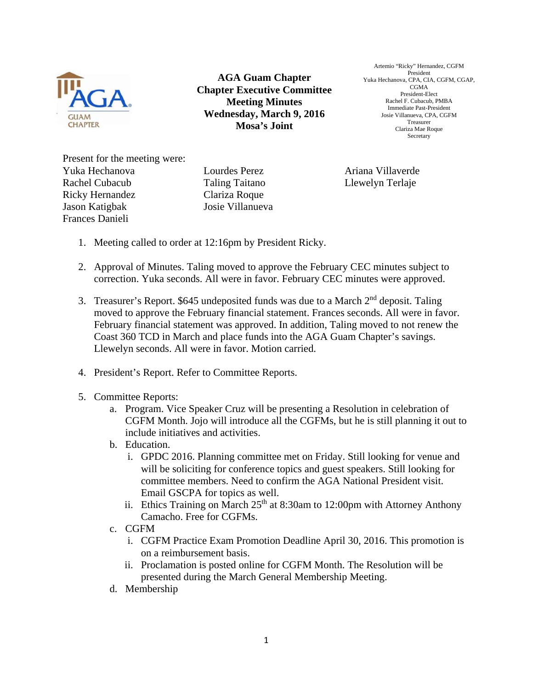

**AGA Guam Chapter Chapter Executive Committee Meeting Minutes Wednesday, March 9, 2016 Mosa's Joint** 

Artemio "Ricky" Hernandez, CGFM President Yuka Hechanova, CPA, CIA, CGFM, CGAP, CGMA President-Elect Rachel F. Cubacub, PMBA Immediate Past-President Josie Villanueva, CPA, CGFM Treasurer Clariza Mae Roque Secretary

Present for the meeting were: Yuka Hechanova Rachel Cubacub Ricky Hernandez Jason Katigbak Josie Villanueva Frances Danieli

Lourdes Perez Taling Taitano Clariza Roque

Ariana Villaverde Llewelyn Terlaje

- 1. Meeting called to order at 12:16pm by President Ricky.
- 2. Approval of Minutes. Taling moved to approve the February CEC minutes subject to correction. Yuka seconds. All were in favor. February CEC minutes were approved.
- 3. Treasurer's Report. \$645 undeposited funds was due to a March  $2<sup>nd</sup>$  deposit. Taling moved to approve the February financial statement. Frances seconds. All were in favor. February financial statement was approved. In addition, Taling moved to not renew the Coast 360 TCD in March and place funds into the AGA Guam Chapter's savings. Llewelyn seconds. All were in favor. Motion carried.
- 4. President's Report. Refer to Committee Reports.
- 5. Committee Reports:
	- a. Program. Vice Speaker Cruz will be presenting a Resolution in celebration of CGFM Month. Jojo will introduce all the CGFMs, but he is still planning it out to include initiatives and activities.
	- b. Education.
		- i. GPDC 2016. Planning committee met on Friday. Still looking for venue and will be soliciting for conference topics and guest speakers. Still looking for committee members. Need to confirm the AGA National President visit. Email GSCPA for topics as well.
		- ii. Ethics Training on March  $25<sup>th</sup>$  at 8:30am to 12:00pm with Attorney Anthony Camacho. Free for CGFMs.
	- c. CGFM
		- i. CGFM Practice Exam Promotion Deadline April 30, 2016. This promotion is on a reimbursement basis.
		- ii. Proclamation is posted online for CGFM Month. The Resolution will be presented during the March General Membership Meeting.
	- d. Membership